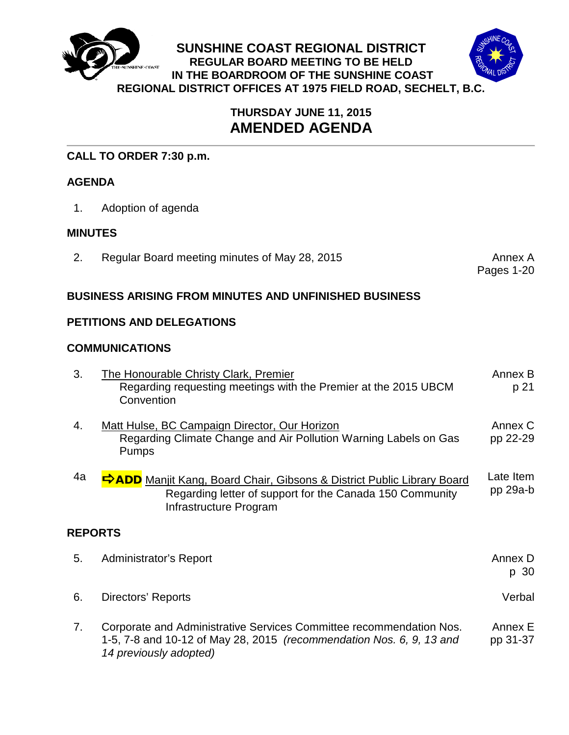

# **THURSDAY JUNE 11, 2015 AMENDED AGENDA**

# **CALL TO ORDER 7:30 p.m.**

# **AGENDA**

1. Adoption of agenda

# **MINUTES**

2. Regular Board meeting minutes of May 28, 2015

Pages 1-20

## **BUSINESS ARISING FROM MINUTES AND UNFINISHED BUSINESS**

# **PETITIONS AND DELEGATIONS**

## **COMMUNICATIONS**

| 3.             | <b>The Honourable Christy Clark, Premier</b><br>Regarding requesting meetings with the Premier at the 2015 UBCM<br>Convention                                         | Annex B<br>p 21       |
|----------------|-----------------------------------------------------------------------------------------------------------------------------------------------------------------------|-----------------------|
| 4.             | Matt Hulse, BC Campaign Director, Our Horizon<br>Regarding Climate Change and Air Pollution Warning Labels on Gas<br><b>Pumps</b>                                     | Annex C<br>pp 22-29   |
| 4a             | <b>FADD</b> Manjit Kang, Board Chair, Gibsons & District Public Library Board<br>Regarding letter of support for the Canada 150 Community<br>Infrastructure Program   | Late Item<br>pp 29a-b |
| <b>REPORTS</b> |                                                                                                                                                                       |                       |
| 5.             | <b>Administrator's Report</b>                                                                                                                                         | Annex D<br>p 30       |
| 6.             | Directors' Reports                                                                                                                                                    | Verbal                |
| 7 <sub>1</sub> | Corporate and Administrative Services Committee recommendation Nos.<br>1-5, 7-8 and 10-12 of May 28, 2015 (recommendation Nos. 6, 9, 13 and<br>14 previously adopted) | Annex E<br>pp 31-37   |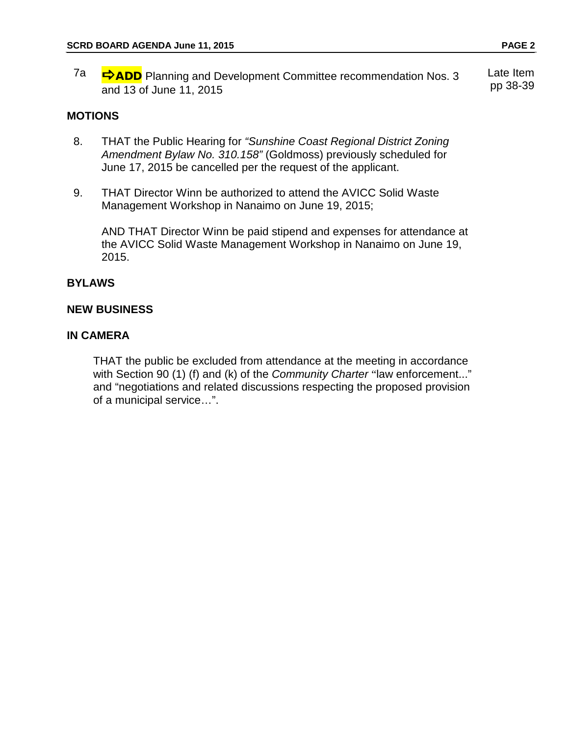7a **→ ADD** Planning and Development Committee recommendation Nos. 3 and 13 of June 11, 2015 Late Item pp 38-39

#### **MOTIONS**

- 8. THAT the Public Hearing for *"Sunshine Coast Regional District Zoning Amendment Bylaw No. 310.158"* (Goldmoss) previously scheduled for June 17, 2015 be cancelled per the request of the applicant.
- 9. THAT Director Winn be authorized to attend the AVICC Solid Waste Management Workshop in Nanaimo on June 19, 2015;

AND THAT Director Winn be paid stipend and expenses for attendance at the AVICC Solid Waste Management Workshop in Nanaimo on June 19, 2015.

#### **BYLAWS**

#### **NEW BUSINESS**

#### **IN CAMERA**

THAT the public be excluded from attendance at the meeting in accordance with Section 90 (1) (f) and (k) of the *Community Charter* "law enforcement..." and "negotiations and related discussions respecting the proposed provision of a municipal service…".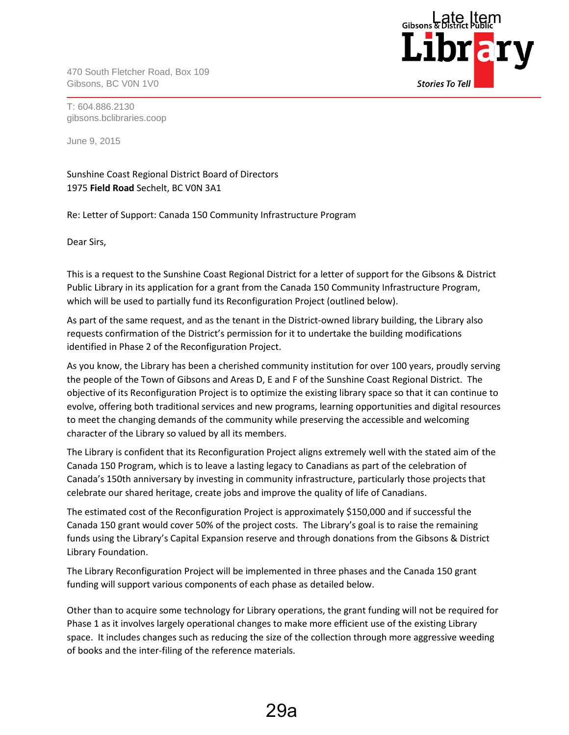470 South Fletcher Road, Box 109 Gibsons, BC V0N 1V0



T: 604.886.2130 gibsons.bclibraries.coop

June 9, 2015

Sunshine Coast Regional District Board of Directors 1975 **Field Road** Sechelt, BC V0N 3A1

Re: Letter of Support: Canada 150 Community Infrastructure Program

Dear Sirs,

This is a request to the Sunshine Coast Regional District for a letter of support for the Gibsons & District Public Library in its application for a grant from the Canada 150 Community Infrastructure Program, which will be used to partially fund its Reconfiguration Project (outlined below).

As part of the same request, and as the tenant in the District-owned library building, the Library also requests confirmation of the District's permission for it to undertake the building modifications identified in Phase 2 of the Reconfiguration Project.

As you know, the Library has been a cherished community institution for over 100 years, proudly serving the people of the Town of Gibsons and Areas D, E and F of the Sunshine Coast Regional District. The objective of its Reconfiguration Project is to optimize the existing library space so that it can continue to evolve, offering both traditional services and new programs, learning opportunities and digital resources to meet the changing demands of the community while preserving the accessible and welcoming character of the Library so valued by all its members.

The Library is confident that its Reconfiguration Project aligns extremely well with the stated aim of the Canada 150 Program, which is to leave a lasting legacy to Canadians as part of the celebration of Canada's 150th anniversary by investing in community infrastructure, particularly those projects that celebrate our shared heritage, create jobs and improve the quality of life of Canadians.

The estimated cost of the Reconfiguration Project is approximately \$150,000 and if successful the Canada 150 grant would cover 50% of the project costs. The Library's goal is to raise the remaining funds using the Library's Capital Expansion reserve and through donations from the Gibsons & District Library Foundation.

The Library Reconfiguration Project will be implemented in three phases and the Canada 150 grant funding will support various components of each phase as detailed below.

Other than to acquire some technology for Library operations, the grant funding will not be required for Phase 1 as it involves largely operational changes to make more efficient use of the existing Library space. It includes changes such as reducing the size of the collection through more aggressive weeding of books and the inter-filing of the reference materials.

29a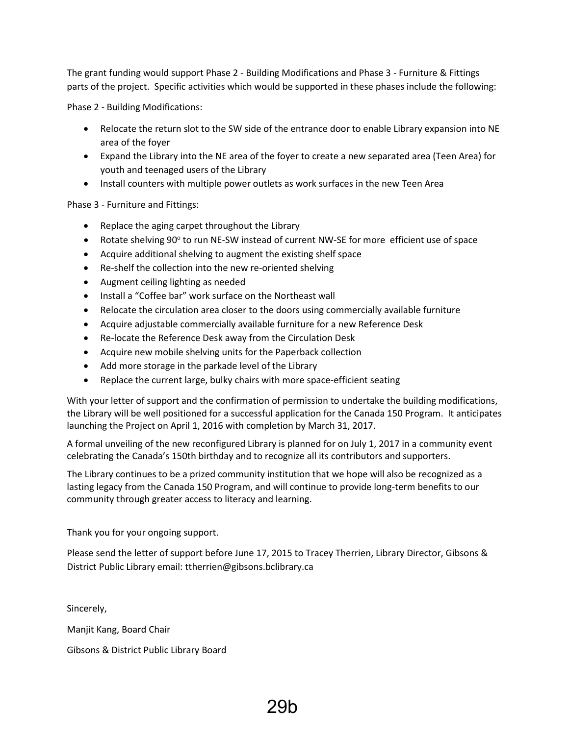The grant funding would support Phase 2 - Building Modifications and Phase 3 - Furniture & Fittings parts of the project. Specific activities which would be supported in these phases include the following:

Phase 2 - Building Modifications:

- Relocate the return slot to the SW side of the entrance door to enable Library expansion into NE area of the foyer
- Expand the Library into the NE area of the foyer to create a new separated area (Teen Area) for youth and teenaged users of the Library
- Install counters with multiple power outlets as work surfaces in the new Teen Area

Phase 3 - Furniture and Fittings:

- Replace the aging carpet throughout the Library
- Rotate shelving 90° to run NE-SW instead of current NW-SE for more efficient use of space
- Acquire additional shelving to augment the existing shelf space
- Re-shelf the collection into the new re-oriented shelving
- Augment ceiling lighting as needed
- Install a "Coffee bar" work surface on the Northeast wall
- Relocate the circulation area closer to the doors using commercially available furniture
- Acquire adjustable commercially available furniture for a new Reference Desk
- Re-locate the Reference Desk away from the Circulation Desk
- Acquire new mobile shelving units for the Paperback collection
- Add more storage in the parkade level of the Library
- Replace the current large, bulky chairs with more space-efficient seating

With your letter of support and the confirmation of permission to undertake the building modifications, the Library will be well positioned for a successful application for the Canada 150 Program. It anticipates launching the Project on April 1, 2016 with completion by March 31, 2017.

A formal unveiling of the new reconfigured Library is planned for on July 1, 2017 in a community event celebrating the Canada's 150th birthday and to recognize all its contributors and supporters.

The Library continues to be a prized community institution that we hope will also be recognized as a lasting legacy from the Canada 150 Program, and will continue to provide long-term benefits to our community through greater access to literacy and learning.

Thank you for your ongoing support.

Please send the letter of support before June 17, 2015 to Tracey Therrien, Library Director, Gibsons & District Public Library email: ttherrien@gibsons.bclibrary.ca

Sincerely, Manjit Kang, Board Chair Gibsons & District Public Library Board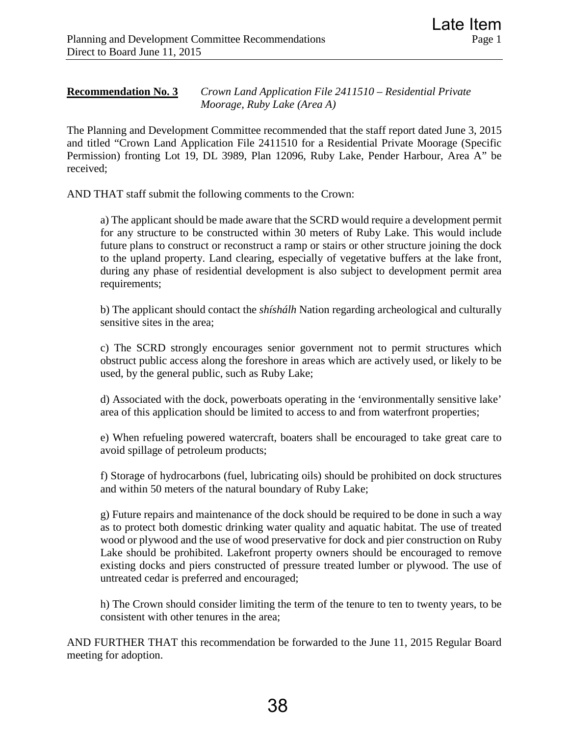# **Recommendation No. 3** *Crown Land Application File 2411510 – Residential Private Moorage, Ruby Lake (Area A)*

The Planning and Development Committee recommended that the staff report dated June 3, 2015 and titled "Crown Land Application File 2411510 for a Residential Private Moorage (Specific Permission) fronting Lot 19, DL 3989, Plan 12096, Ruby Lake, Pender Harbour, Area A" be received;

AND THAT staff submit the following comments to the Crown:

a) The applicant should be made aware that the SCRD would require a development permit for any structure to be constructed within 30 meters of Ruby Lake. This would include future plans to construct or reconstruct a ramp or stairs or other structure joining the dock to the upland property. Land clearing, especially of vegetative buffers at the lake front, during any phase of residential development is also subject to development permit area requirements;

b) The applicant should contact the *shíshálh* Nation regarding archeological and culturally sensitive sites in the area;

c) The SCRD strongly encourages senior government not to permit structures which obstruct public access along the foreshore in areas which are actively used, or likely to be used, by the general public, such as Ruby Lake;

d) Associated with the dock, powerboats operating in the 'environmentally sensitive lake' area of this application should be limited to access to and from waterfront properties;

e) When refueling powered watercraft, boaters shall be encouraged to take great care to avoid spillage of petroleum products;

f) Storage of hydrocarbons (fuel, lubricating oils) should be prohibited on dock structures and within 50 meters of the natural boundary of Ruby Lake;

g) Future repairs and maintenance of the dock should be required to be done in such a way as to protect both domestic drinking water quality and aquatic habitat. The use of treated wood or plywood and the use of wood preservative for dock and pier construction on Ruby Lake should be prohibited. Lakefront property owners should be encouraged to remove existing docks and piers constructed of pressure treated lumber or plywood. The use of untreated cedar is preferred and encouraged;

h) The Crown should consider limiting the term of the tenure to ten to twenty years, to be consistent with other tenures in the area;

AND FURTHER THAT this recommendation be forwarded to the June 11, 2015 Regular Board meeting for adoption.